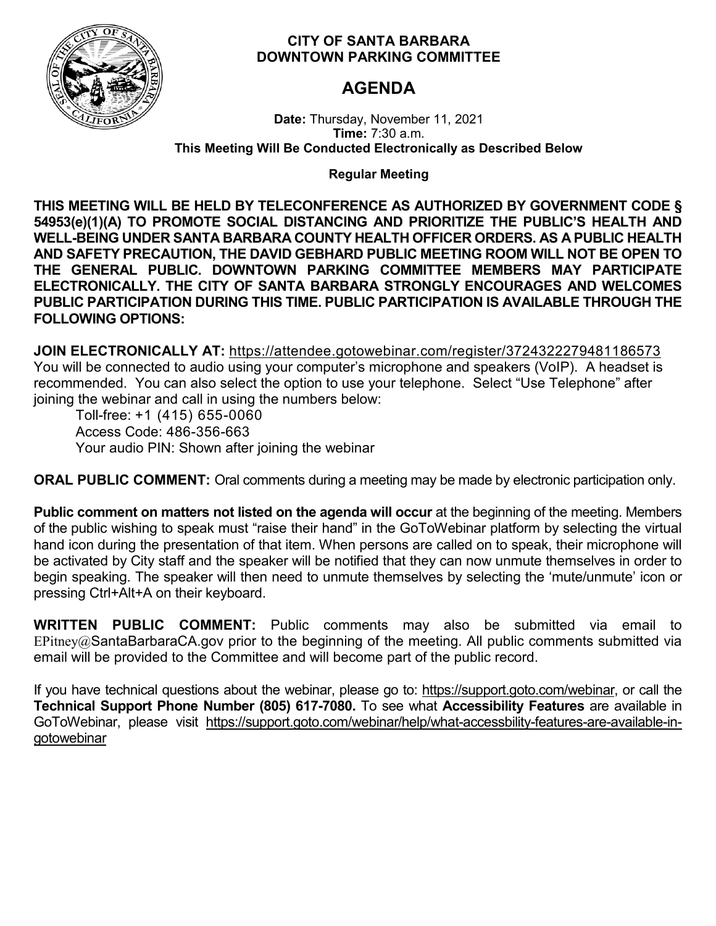

# **CITY OF SANTA BARBARA DOWNTOWN PARKING COMMITTEE**

# **AGENDA**

**Date:** Thursday, November 11, 2021 **Time:** 7:30 a.m. **This Meeting Will Be Conducted Electronically as Described Below**

**Regular Meeting**

**THIS MEETING WILL BE HELD BY TELECONFERENCE AS AUTHORIZED BY GOVERNMENT CODE § 54953(e)(1)(A) TO PROMOTE SOCIAL DISTANCING AND PRIORITIZE THE PUBLIC'S HEALTH AND WELL-BEING UNDER SANTA BARBARA COUNTY HEALTH OFFICER ORDERS. AS A PUBLIC HEALTH AND SAFETY PRECAUTION, THE DAVID GEBHARD PUBLIC MEETING ROOM WILL NOT BE OPEN TO THE GENERAL PUBLIC. DOWNTOWN PARKING COMMITTEE MEMBERS MAY PARTICIPATE ELECTRONICALLY. THE CITY OF SANTA BARBARA STRONGLY ENCOURAGES AND WELCOMES PUBLIC PARTICIPATION DURING THIS TIME. PUBLIC PARTICIPATION IS AVAILABLE THROUGH THE FOLLOWING OPTIONS:**

**JOIN ELECTRONICALLY AT:** <https://attendee.gotowebinar.com/register/3724322279481186573> You will be connected to audio using your computer's microphone and speakers (VoIP). A headset is recommended. You can also select the option to use your telephone. Select "Use Telephone" after joining the webinar and call in using the numbers below:

Toll-free: +1 (415) 655-0060 Access Code: 486-356-663 Your audio PIN: Shown after joining the webinar

**ORAL PUBLIC COMMENT:** Oral comments during a meeting may be made by electronic participation only.

**Public comment on matters not listed on the agenda will occur** at the beginning of the meeting. Members of the public wishing to speak must "raise their hand" in the GoToWebinar platform by selecting the virtual hand icon during the presentation of that item. When persons are called on to speak, their microphone will be activated by City staff and the speaker will be notified that they can now unmute themselves in order to begin speaking. The speaker will then need to unmute themselves by selecting the 'mute/unmute' icon or pressing Ctrl+Alt+A on their keyboard.

**WRITTEN PUBLIC COMMENT:** Public comments may also be submitted via email to EPitney@SantaBarbaraCA.gov prior to the beginning of the meeting. All public comments submitted via email will be provided to the Committee and will become part of the public record.

If you have technical questions about the webinar, please go to: [https://support.goto.com/webinar,](https://support.goto.com/webinar) or call the **Technical Support Phone Number (805) 617-7080.** To see what **Accessibility Features** are available in GoToWebinar, please visit [https://support.goto.com/webinar/help/what-accessbility-features-are-available-in](https://support.goto.com/webinar/help/what-accessbility-features-are-available-in-gotowebinar)[gotowebinar](https://support.goto.com/webinar/help/what-accessbility-features-are-available-in-gotowebinar)